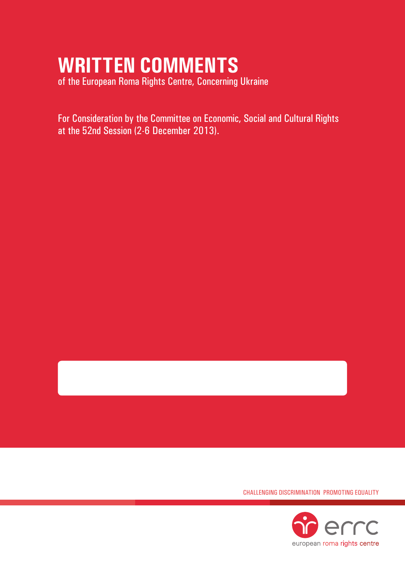# **WRITTEN COMMENTS**

of the European Roma Rights Centre, Concerning Ukraine

For Consideration by the Committee on Economic, Social and Cultural Rights at the 52nd Session (2-6 December 2013).

Challenging Discrimination Promoting Equality

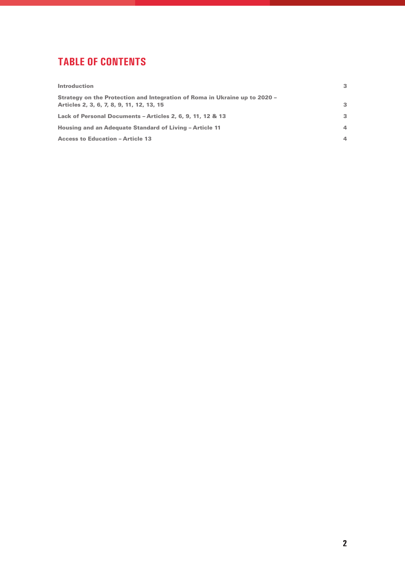# **tablE of contents**

| <b>Introduction</b>                                                                                                     | 3                       |
|-------------------------------------------------------------------------------------------------------------------------|-------------------------|
| Strategy on the Protection and Integration of Roma in Ukraine up to 2020 -<br>Articles 2, 3, 6, 7, 8, 9, 11, 12, 13, 15 | $\mathbf{3}$            |
| Lack of Personal Documents - Articles 2, 6, 9, 11, 12 & 13                                                              | 3                       |
| <b>Housing and an Adequate Standard of Living - Article 11</b>                                                          | $\overline{\mathbf{A}}$ |
| <b>Access to Education - Article 13</b>                                                                                 | 4                       |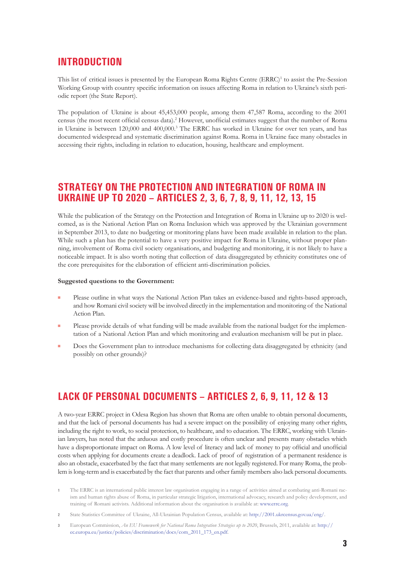## **INTRODUCTION**

This list of critical issues is presented by the European Roma Rights Centre (ERRC)<sup>1</sup> to assist the Pre-Session Working Group with country specific information on issues affecting Roma in relation to Ukraine's sixth periodic report (the State Report).

The population of Ukraine is about 45,453,000 people, among them 47,587 Roma, according to the 2001 census (the most recent official census data).2 However, unofficial estimates suggest that the number of Roma in Ukraine is between 120,000 and 400,000.3 The ERRC has worked in Ukraine for over ten years, and has documented widespread and systematic discrimination against Roma. Roma in Ukraine face many obstacles in accessing their rights, including in relation to education, housing, healthcare and employment.

## **Strategy on the Protection and Integration of Roma in Ukraine up to 2020 – Articles 2, 3, 6, 7, 8, 9, 11, 12, 13, 15**

While the publication of the Strategy on the Protection and Integration of Roma in Ukraine up to 2020 is welcomed, as is the National Action Plan on Roma Inclusion which was approved by the Ukrainian government in September 2013, to date no budgeting or monitoring plans have been made available in relation to the plan. While such a plan has the potential to have a very positive impact for Roma in Ukraine, without proper planning, involvement of Roma civil society organisations, and budgeting and monitoring, it is not likely to have a noticeable impact. It is also worth noting that collection of data disaggregated by ethnicity constitutes one of the core prerequisites for the elaboration of efficient anti-discrimination policies.

#### **Suggested questions to the Government:**

- Please outline in what ways the National Action Plan takes an evidence-based and rights-based approach, and how Romani civil society will be involved directly in the implementation and monitoring of the National Action Plan.
- Please provide details of what funding will be made available from the national budget for the implementation of a National Action Plan and which monitoring and evaluation mechanism will be put in place.
- Does the Government plan to introduce mechanisms for collecting data disaggregated by ethnicity (and possibly on other grounds)?

# **Lack of personal documents – Articles 2, 6, 9, 11, 12 & 13**

A two-year ERRC project in Odesa Region has shown that Roma are often unable to obtain personal documents, and that the lack of personal documents has had a severe impact on the possibility of enjoying many other rights, including the right to work, to social protection, to healthcare, and to education. The ERRC, working with Ukrainian lawyers, has noted that the arduous and costly procedure is often unclear and presents many obstacles which have a disproportionate impact on Roma. A low level of literacy and lack of money to pay official and unofficial costs when applying for documents create a deadlock. Lack of proof of registration of a permanent residence is also an obstacle, exacerbated by the fact that many settlements are not legally registered. For many Roma, the problem is long-term and is exacerbated by the fact that parents and other family members also lack personal documents.

- **1** The ERRC is an international public interest law organisation engaging in a range of activities aimed at combating anti-Romani racism and human rights abuse of Roma, in particular strategic litigation, international advocacy, research and policy development, and training of Romani activists. Additional information about the organisation is available at: www.errc.org.
- **2** State Statistics Committee of Ukraine, All-Ukrainian Population Census, available at: http://2001.ukrcensus.gov.ua/eng/.
- **3** European Commission, *An EU Framework for National Roma Integration Strategies up to 2020*, Brussels, 2011, available at: http:// ec.europa.eu/justice/policies/discrimination/docs/com\_2011\_173\_en.pdf.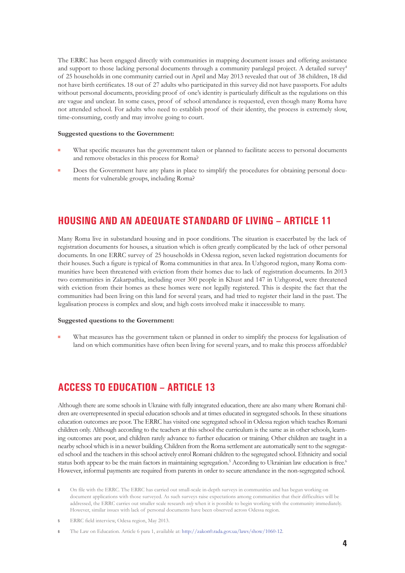The ERRC has been engaged directly with communities in mapping document issues and offering assistance and support to those lacking personal documents through a community paralegal project. A detailed survey<sup>4</sup> of 25 households in one community carried out in April and May 2013 revealed that out of 38 children, 18 did not have birth certificates. 18 out of 27 adults who participated in this survey did not have passports. For adults without personal documents, providing proof of one's identity is particularly difficult as the regulations on this are vague and unclear. In some cases, proof of school attendance is requested, even though many Roma have not attended school. For adults who need to establish proof of their identity, the process is extremely slow, time-consuming, costly and may involve going to court.

#### **Suggested questions to the Government:**

- What specific measures has the government taken or planned to facilitate access to personal documents and remove obstacles in this process for Roma?
- Does the Government have any plans in place to simplify the procedures for obtaining personal documents for vulnerable groups, including Roma?

# **Housing and an adequate standard of living – Article 11**

Many Roma live in substandard housing and in poor conditions. The situation is exacerbated by the lack of registration documents for houses, a situation which is often greatly complicated by the lack of other personal documents. In one ERRC survey of 25 households in Odessa region, seven lacked registration documents for their houses. Such a figure is typical of Roma communities in that area. In Uzhgorod region, many Roma communities have been threatened with eviction from their homes due to lack of registration documents. In 2013 two communities in Zakarpathia, including over 300 people in Khust and 147 in Uzhgorod, were threatened with eviction from their homes as these homes were not legally registered. This is despite the fact that the communities had been living on this land for several years, and had tried to register their land in the past. The legalisation process is complex and slow, and high costs involved make it inaccessible to many.

#### **Suggested questions to the Government:**

What measures has the government taken or planned in order to simplify the process for legalisation of land on which communities have often been living for several years, and to make this process affordable?

# **Access to education – Article 13**

Although there are some schools in Ukraine with fully integrated education, there are also many where Romani children are overrepresented in special education schools and at times educated in segregated schools. In these situations education outcomes are poor. The ERRC has visited one segregated school in Odessa region which teaches Romani children only. Although according to the teachers at this school the curriculum is the same as in other schools, learning outcomes are poor, and children rarely advance to further education or training. Other children are taught in a nearby school which is in a newer building. Children from the Roma settlement are automatically sent to the segregated school and the teachers in this school actively enrol Romani children to the segregated school. Ethnicity and social status both appear to be the main factors in maintaining segregation.<sup>5</sup> According to Ukrainian law education is free.<sup>6</sup> However, informal payments are required from parents in order to secure attendance in the non-segregated school.

- **4** On file with the ERRC. The ERRC has carried out small-scale in-depth surveys in communities and has begun working on document applications with those surveyed. As such surveys raise expectations among communities that their difficulties will be addressed, the ERRC carries out smaller scale research *only* when it is possible to begin working with the community immediately. However, similar issues with lack of personal documents have been observed across Odessa region.
- **5** ERRC field interview, Odesa region, May 2013.
- **6** The Law on Education. Article 6 para 1, available at: http://zakon0.rada.gov.ua/laws/show/1060-12.